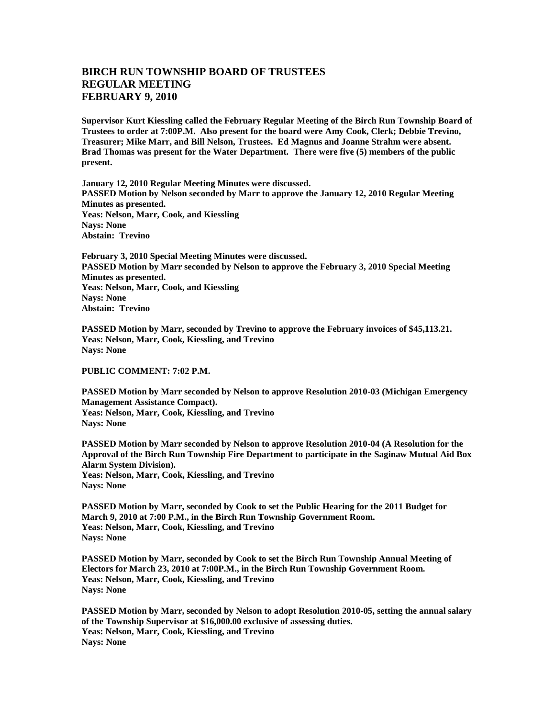## **BIRCH RUN TOWNSHIP BOARD OF TRUSTEES REGULAR MEETING FEBRUARY 9, 2010**

**Supervisor Kurt Kiessling called the February Regular Meeting of the Birch Run Township Board of Trustees to order at 7:00P.M. Also present for the board were Amy Cook, Clerk; Debbie Trevino, Treasurer; Mike Marr, and Bill Nelson, Trustees. Ed Magnus and Joanne Strahm were absent. Brad Thomas was present for the Water Department. There were five (5) members of the public present.** 

**January 12, 2010 Regular Meeting Minutes were discussed. PASSED Motion by Nelson seconded by Marr to approve the January 12, 2010 Regular Meeting Minutes as presented. Yeas: Nelson, Marr, Cook, and Kiessling Nays: None Abstain: Trevino**

**February 3, 2010 Special Meeting Minutes were discussed. PASSED Motion by Marr seconded by Nelson to approve the February 3, 2010 Special Meeting Minutes as presented. Yeas: Nelson, Marr, Cook, and Kiessling Nays: None Abstain: Trevino**

**PASSED Motion by Marr, seconded by Trevino to approve the February invoices of \$45,113.21. Yeas: Nelson, Marr, Cook, Kiessling, and Trevino Nays: None**

**PUBLIC COMMENT: 7:02 P.M.**

**PASSED Motion by Marr seconded by Nelson to approve Resolution 2010-03 (Michigan Emergency Management Assistance Compact). Yeas: Nelson, Marr, Cook, Kiessling, and Trevino Nays: None**

**PASSED Motion by Marr seconded by Nelson to approve Resolution 2010-04 (A Resolution for the Approval of the Birch Run Township Fire Department to participate in the Saginaw Mutual Aid Box Alarm System Division). Yeas: Nelson, Marr, Cook, Kiessling, and Trevino Nays: None**

**PASSED Motion by Marr, seconded by Cook to set the Public Hearing for the 2011 Budget for March 9, 2010 at 7:00 P.M., in the Birch Run Township Government Room. Yeas: Nelson, Marr, Cook, Kiessling, and Trevino Nays: None**

**PASSED Motion by Marr, seconded by Cook to set the Birch Run Township Annual Meeting of Electors for March 23, 2010 at 7:00P.M., in the Birch Run Township Government Room. Yeas: Nelson, Marr, Cook, Kiessling, and Trevino Nays: None**

**PASSED Motion by Marr, seconded by Nelson to adopt Resolution 2010-05, setting the annual salary of the Township Supervisor at \$16,000.00 exclusive of assessing duties. Yeas: Nelson, Marr, Cook, Kiessling, and Trevino Nays: None**